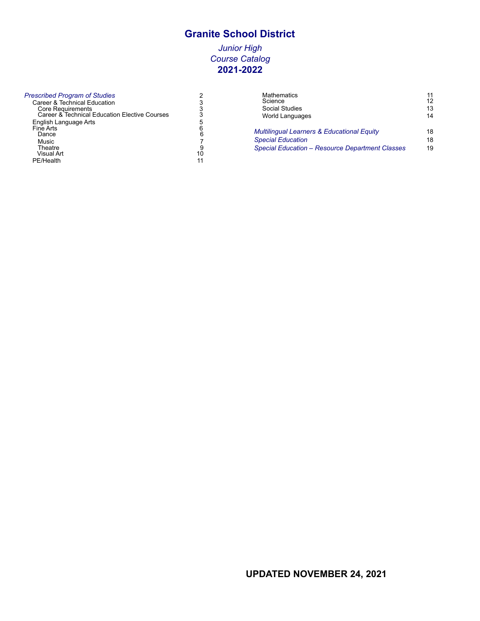## **Granite School District**

## *Junior High Course Catalog* **2021-2022**

| Prescribed Program of Studies                 |    |
|-----------------------------------------------|----|
| Career & Technical Education                  |    |
| <b>Core Requirements</b>                      | 3  |
| Career & Technical Education Elective Courses | 3  |
| English Language Arts                         | 5  |
| Fine Arts                                     |    |
| Dance                                         | 6  |
| Music                                         |    |
| Theatre                                       | 9  |
| Visual Art                                    | 10 |
| PE/Health                                     |    |

| <b>Mathematics</b>                                    | 11 |
|-------------------------------------------------------|----|
| Science                                               | 12 |
| <b>Social Studies</b>                                 | 13 |
| World Languages                                       | 14 |
| <b>Multilingual Learners &amp; Educational Equity</b> | 18 |
| <b>Special Education</b>                              | 18 |
| Special Education – Resource Department Classes       | 19 |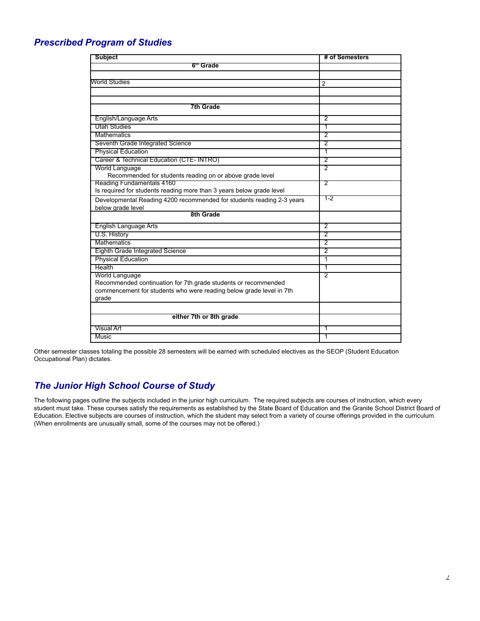## *Prescribed Program of Studies*

| <b>Subject</b>                                                                                                                                                   | # of Semesters |
|------------------------------------------------------------------------------------------------------------------------------------------------------------------|----------------|
| 6 <sup>tm</sup> Grade                                                                                                                                            |                |
|                                                                                                                                                                  |                |
| <b>World Studies</b>                                                                                                                                             | $\overline{2}$ |
|                                                                                                                                                                  |                |
|                                                                                                                                                                  |                |
| <b>7th Grade</b>                                                                                                                                                 |                |
| English/Language Arts                                                                                                                                            | 2              |
| <b>Utah Studies</b>                                                                                                                                              | 1              |
| <b>Mathematics</b>                                                                                                                                               | $\overline{2}$ |
| Seventh Grade Integrated Science                                                                                                                                 | 2              |
| <b>Physical Education</b>                                                                                                                                        | 1              |
| Career & Technical Education (CTE-INTRO)                                                                                                                         | 2              |
| World Language<br>Recommended for students reading on or above grade level                                                                                       | 2              |
| Reading Fundamentals 4160<br>Is required for students reading more than 3 years below grade level                                                                | ァ              |
| Developmental Reading 4200 recommended for students reading 2-3 years<br>below grade level                                                                       | $1 - 2$        |
| 8th Grade                                                                                                                                                        |                |
| <b>English Language Arts</b>                                                                                                                                     | $\overline{2}$ |
| U.S. History                                                                                                                                                     | $\overline{2}$ |
| <b>Mathematics</b>                                                                                                                                               | 2              |
| <b>Eighth Grade Integrated Science</b>                                                                                                                           | $\overline{2}$ |
| <b>Physical Education</b>                                                                                                                                        | $\overline{1}$ |
| Health                                                                                                                                                           | ┱              |
| World Language<br>Recommended continuation for 7th grade students or recommended<br>commencement for students who were reading below grade level in 7th<br>grade | 2              |
|                                                                                                                                                                  |                |
| either 7th or 8th grade                                                                                                                                          |                |
| <b>Visual Art</b>                                                                                                                                                | 1              |
| <b>Music</b>                                                                                                                                                     | 1              |

Other semester classes totaling the possible 28 semesters will be earned with scheduled electives as the SEOP (Student Education Occupational Plan) dictates.

## *The Junior High School Course of Study*

The following pages outline the subjects included in the junior high curriculum. The required subjects are courses of instruction, which every student must take. These courses satisfy the requirements as established by the State Board of Education and the Granite School District Board of Education. Elective subjects are courses of instruction, which the student may select from a variety of course offerings provided in the curriculum. (When enrollments are unusually small, some of the courses may not be offered.)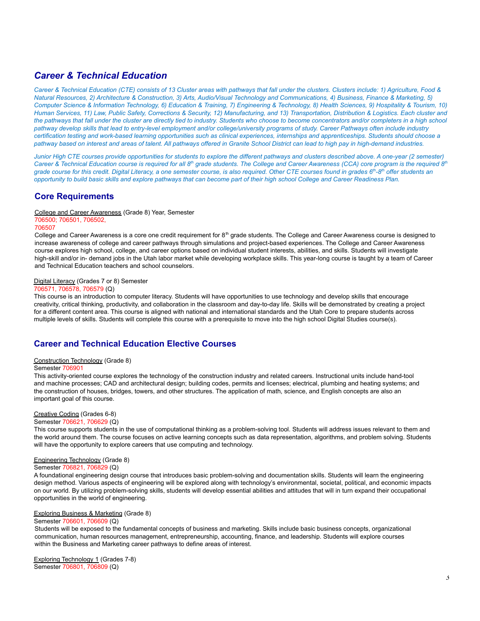## *Career & Technical Education*

Career & Technical Education (CTE) consists of 13 Cluster areas with pathways that fall under the clusters. Clusters include: 1) Agriculture, Food & Natural Resources, 2) Architecture & Construction, 3) Arts, Audio/Visual Technology and Communications, 4) Business, Finance & Marketing, 5) Computer Science & Information Technology, 6) Education & Training, 7) Engineering & Technology, 8) Health Sciences, 9) Hospitality & Tourism, 10) Human Services, 11) Law, Public Safety, Corrections & Security, 12) Manufacturing, and 13) Transportation, Distribution & Logistics. Each cluster and the pathways that fall under the cluster are directly tied to industry. Students who choose to become concentrators and/or completers in a high school pathway develop skills that lead to entry-level employment and/or college/university programs of study. Career Pathways often include industry certification testing and work-based learning opportunities such as clinical experiences, internships and apprenticeships. Students should choose a pathway based on interest and areas of talent. All pathways offered in Granite School District can lead to high pay in high-demand industries.

Junior High CTE courses provide opportunities for students to explore the different pathways and clusters described above. A one-year (2 semester) Career & Technical Education course is required for all 8<sup>th</sup> grade students. The College and Career Awareness (CCA) core program is the required 8<sup>th</sup> grade course for this credit. Digital Literacy, a one semester course, is also required. Other CTE courses found in grades 6th-8th offer students an opportunity to build basic skills and explore pathways that can become part of their high school College and Career Readiness Plan.

## **Core Requirements**

College and Career Awareness (Grade 8) Year, Semester 706500; 706501, 706502,

#### 706507

College and Career Awareness is a core one credit requirement for 8<sup>th</sup> grade students. The College and Career Awareness course is designed to increase awareness of college and career pathways through simulations and project-based experiences. The College and Career Awareness course explores high school, college, and career options based on individual student interests, abilities, and skills. Students will investigate high-skill and/or in- demand jobs in the Utah labor market while developing workplace skills. This year-long course is taught by a team of Career and Technical Education teachers and school counselors.

### Digital Literacy (Grades 7 or 8) Semester

### 706571, 706578, 706579 (Q)

This course is an introduction to computer literacy. Students will have opportunities to use technology and develop skills that encourage creativity, critical thinking, productivity, and collaboration in the classroom and day-to-day life. Skills will be demonstrated by creating a project for a different content area. This course is aligned with national and international standards and the Utah Core to prepare students across multiple levels of skills. Students will complete this course with a prerequisite to move into the high school Digital Studies course(s).

## **Career and Technical Education Elective Courses**

### Construction Technology (Grade 8)

#### Semester 706901

This activity-oriented course explores the technology of the construction industry and related careers. Instructional units include hand-tool and machine processes; CAD and architectural design; building codes, permits and licenses; electrical, plumbing and heating systems; and the construction of houses, bridges, towers, and other structures. The application of math, science, and English concepts are also an important goal of this course.

### Creative Coding (Grades 6-8)

#### Semester 706621, 706629 (Q)

This course supports students in the use of computational thinking as a problem-solving tool. Students will address issues relevant to them and the world around them. The course focuses on active learning concepts such as data representation, algorithms, and problem solving. Students will have the opportunity to explore careers that use computing and technology.

### Engineering Technology (Grade 8)

### Semester 706821, 706829 (Q)

A foundational engineering design course that introduces basic problem-solving and documentation skills. Students will learn the engineering design method. Various aspects of engineering will be explored along with technology's environmental, societal, political, and economic impacts on our world. By utilizing problem-solving skills, students will develop essential abilities and attitudes that will in turn expand their occupational opportunities in the world of engineering.

### Exploring Business & Marketing (Grade 8)

### Semester 706601, 706609 (Q)

Students will be exposed to the fundamental concepts of business and marketing. Skills include basic business concepts, organizational communication, human resources management, entrepreneurship, accounting, finance, and leadership. Students will explore courses within the Business and Marketing career pathways to define areas of interest.

Exploring Technology 1 (Grades 7-8) Semester 706801, 706809 (Q)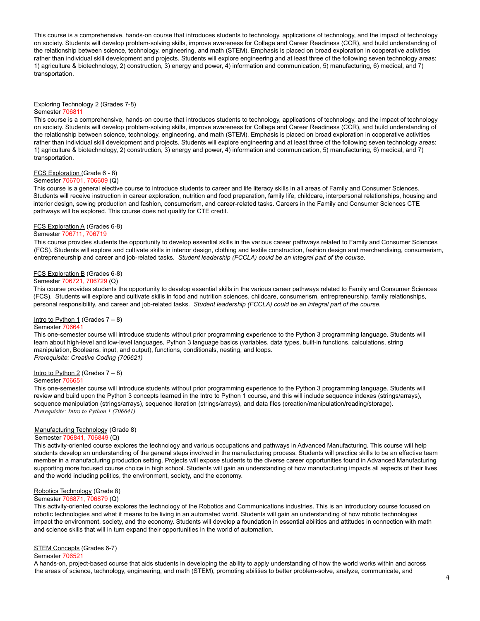This course is a comprehensive, hands-on course that introduces students to technology, applications of technology, and the impact of technology on society. Students will develop problem-solving skills, improve awareness for College and Career Readiness (CCR), and build understanding of the relationship between science, technology, engineering, and math (STEM). Emphasis is placed on broad exploration in cooperative activities rather than individual skill development and projects. Students will explore engineering and at least three of the following seven technology areas: 1) agriculture & biotechnology, 2) construction, 3) energy and power, 4) information and communication, 5) manufacturing, 6) medical, and 7) transportation.

## Exploring Technology 2 (Grades 7-8)

### Semester 706811

This course is a comprehensive, hands-on course that introduces students to technology, applications of technology, and the impact of technology on society. Students will develop problem-solving skills, improve awareness for College and Career Readiness (CCR), and build understanding of the relationship between science, technology, engineering, and math (STEM). Emphasis is placed on broad exploration in cooperative activities rather than individual skill development and projects. Students will explore engineering and at least three of the following seven technology areas: 1) agriculture & biotechnology, 2) construction, 3) energy and power, 4) information and communication, 5) manufacturing, 6) medical, and 7) transportation.

### FCS Exploration (Grade 6 - 8)

### Semester 706701, 706609 (Q)

This course is a general elective course to introduce students to career and life literacy skills in all areas of Family and Consumer Sciences. Students will receive instruction in career exploration, nutrition and food preparation, family life, childcare, interpersonal relationships, housing and interior design, sewing production and fashion, consumerism, and career-related tasks. Careers in the Family and Consumer Sciences CTE pathways will be explored. This course does not qualify for CTE credit.

#### FCS Exploration A (Grades 6-8)

### Semester 706711, 706719

This course provides students the opportunity to develop essential skills in the various career pathways related to Family and Consumer Sciences (FCS). Students will explore and cultivate skills in interior design, clothing and textile construction, fashion design and merchandising, consumerism, entrepreneurship and career and job-related tasks. *Student leadership (FCCLA) could be an integral part of the course.*

### FCS Exploration B (Grades 6-8)

### Semester 706721, 706729 (Q)

This course provides students the opportunity to develop essential skills in the various career pathways related to Family and Consumer Sciences (FCS). Students will explore and cultivate skills in food and nutrition sciences, childcare, consumerism, entrepreneurship, family relationships, personal responsibility, and career and job-related tasks. *Student leadership (FCCLA) could be an integral part of the course.*

### Intro to Python 1 (Grades  $7 - 8$ )

#### Semester 706641

This one-semester course will introduce students without prior programming experience to the Python 3 programming language. Students will learn about high-level and low-level languages, Python 3 language basics (variables, data types, built-in functions, calculations, string manipulation, Booleans, input, and output), functions, conditionals, nesting, and loops. *Prerequisite: Creative Coding (706621)*

### Intro to Python 2 (Grades  $7 - 8$ )

#### Semester 706651

This one-semester course will introduce students without prior programming experience to the Python 3 programming language. Students will review and build upon the Python 3 concepts learned in the Intro to Python 1 course, and this will include sequence indexes (strings/arrays), sequence manipulation (strings/arrays), sequence iteration (strings/arrays), and data files (creation/manipulation/reading/storage). *Prerequisite: Intro to Python 1 (706641)*

#### Manufacturing Technology (Grade 8)

#### Semester 706841, 706849 (Q)

This activity-oriented course explores the technology and various occupations and pathways in Advanced Manufacturing. This course will help students develop an understanding of the general steps involved in the manufacturing process. Students will practice skills to be an effective team member in a manufacturing production setting. Projects will expose students to the diverse career opportunities found in Advanced Manufacturing supporting more focused course choice in high school. Students will gain an understanding of how manufacturing impacts all aspects of their lives and the world including politics, the environment, society, and the economy.

### Robotics Technology (Grade 8)

#### Semester 706871, 706879 (Q)

This activity-oriented course explores the technology of the Robotics and Communications industries. This is an introductory course focused on robotic technologies and what it means to be living in an automated world. Students will gain an understanding of how robotic technologies impact the environment, society, and the economy. Students will develop a foundation in essential abilities and attitudes in connection with math and science skills that will in turn expand their opportunities in the world of automation.

### STEM Concepts (Grades 6-7)

#### Semester 706521

A hands-on, project-based course that aids students in developing the ability to apply understanding of how the world works within and across the areas of science, technology, engineering, and math (STEM), promoting abilities to better problem-solve, analyze, communicate, and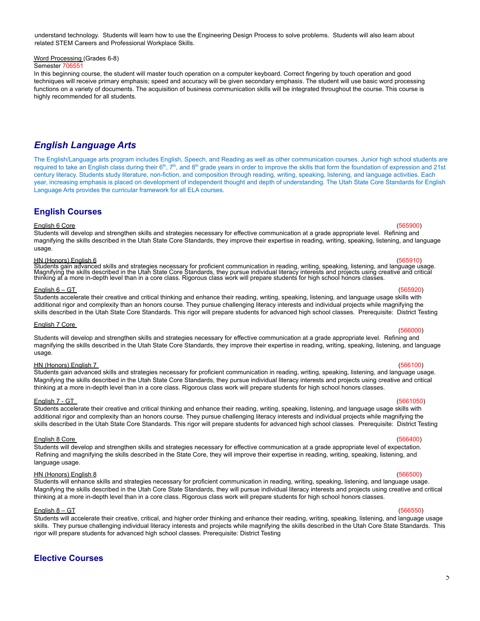### understand technology. Students will learn how to use the Engineering Design Process to solve problems. Students will also learn about related STEM Careers and Professional Workplace Skills.

### Word Processing (Grades 6-8)

### Semester 70655

In this beginning course, the student will master touch operation on a computer keyboard. Correct fingering by touch operation and good techniques will receive primary emphasis; speed and accuracy will be given secondary emphasis. The student will use basic word processing functions on a variety of documents. The acquisition of business communication skills will be integrated throughout the course. This course is highly recommended for all students.

## *English Language Arts*

The English/Language arts program includes English, Speech, and Reading as well as other communication courses. Junior high school students are required to take an English class during their 6<sup>th</sup>, 7<sup>th</sup>, and 8<sup>th</sup> grade years in order to improve the skills that form the foundation of expression and 21st century literacy. Students study literature, non-fiction, and composition through reading, writing, speaking, listening, and language activities. Each year, increasing emphasis is placed on development of independent thought and depth of understanding. The Utah State Core Standards for English Language Arts provides the curricular framework for all ELA courses.

## **English Courses**

#### English 6 Core (565900)

Students will develop and strengthen skills and strategies necessary for effective communication at a grade appropriate level. Refining and magnifying the skills described in the Utah State Core Standards, they improve their expertise in reading, writing, speaking, listening, and language usage.

<u>HN (Honors) English 6</u><br>Students gain advanced skills and strategies necessary for proficient communication in reading, writing, speaking, listening, and language usage.<br>Magnifying the skills described in the Utah State Co

#### $\blacksquare$ English 6 – GT $\blacksquare$  (565920)

Students accelerate their creative and critical thinking and enhance their reading, writing, speaking, listening, and language usage skills with additional rigor and complexity than an honors course. They pursue challenging literacy interests and individual projects while magnifying the skills described in the Utah State Core Standards. This rigor will prepare students for advanced high school classes. Prerequisite: District Testing

### English 7 Core

Students will develop and strengthen skills and strategies necessary for effective communication at a grade appropriate level. Refining and magnifying the skills described in the Utah State Core Standards, they improve their expertise in reading, writing, speaking, listening, and language usage.

### HN (Honors) English 7 (566100)

Students gain advanced skills and strategies necessary for proficient communication in reading, writing, speaking, listening, and language usage. Magnifying the skills described in the Utah State Core Standards, they pursue individual literacy interests and projects using creative and critical thinking at a more in-depth level than in a core class. Rigorous class work will prepare students for high school honors classes.

### $English 7 - GT$  (5661050)

### Students accelerate their creative and critical thinking and enhance their reading, writing, speaking, listening, and language usage skills with additional rigor and complexity than an honors course. They pursue challenging literacy interests and individual projects while magnifying the skills described in the Utah State Core Standards. This rigor will prepare students for advanced high school classes. Prerequisite: District Testing

### English 8 Core (566400)

Students will develop and strengthen skills and strategies necessary for effective communication at a grade appropriate level of expectation. Refining and magnifying the skills described in the State Core, they will improve their expertise in reading, writing, speaking, listening, and language usage.

### HN (Honors) English 8 (566500)

Students will enhance skills and strategies necessary for proficient communication in reading, writing, speaking, listening, and language usage. Magnifying the skills described in the Utah Core State Standards, they will pursue individual literacy interests and projects using creative and critical thinking at a more in-depth level than in a core class. Rigorous class work will prepare students for high school honors classes.

### $\blacksquare$ English 8 – GT (566550)

Students will accelerate their creative, critical, and higher order thinking and enhance their reading, writing, speaking, listening, and language usage skills. They pursue challenging individual literacy interests and projects while magnifying the skills described in the Utah Core State Standards. This rigor will prepare students for advanced high school classes. Prerequisite: District Testing

## **Elective Courses**

## (566000)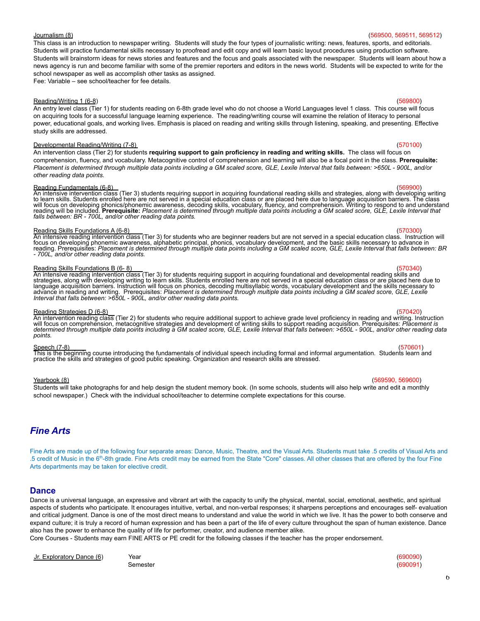#### 6

This class is an introduction to newspaper writing. Students will study the four types of journalistic writing: news, features, sports, and editorials. Students will practice fundamental skills necessary to proofread and edit copy and will learn basic layout procedures using production software. Students will brainstorm ideas for news stories and features and the focus and goals associated with the newspaper. Students will learn about how a news agency is run and become familiar with some of the premier reporters and editors in the news world. Students will be expected to write for the school newspaper as well as accomplish other tasks as assigned.

Fee: Variable – see school/teacher for fee details.

#### Reading/Writing 1 (6-8) (569800)

An entry level class (Tier 1) for students reading on 6-8th grade level who do not choose a World Languages level 1 class. This course will focus on acquiring tools for a successful language learning experience. The reading/writing course will examine the relation of literacy to personal power, educational goals, and working lives. Emphasis is placed on reading and writing skills through listening, speaking, and presenting. Effective study skills are addressed.

### Developmental Reading/Writing (7-8) (570100)

An intervention class (Tier 2) for students **requiring support to gain proficiency in reading and writing skills.** The class will focus on comprehension, fluency, and vocabulary. Metacognitive control of comprehension and learning will also be a focal point in the class. **Prerequisite:** Placement is determined through multiple data points including a GM scaled score, GLE, Lexile Interval that falls between: >650L - 900L, and/or *other reading data points.*

Reading Fundamentals (6-8)<br>An intensive intervention class (Tier 3) students requiring support in acquiring foundational reading skills and strategies, along with developing writing<br>to learn skills. Students enrolled here *falls between: BR - 700L, and/or other reading data points.*

Reading Skills Foundations A (6-8)<br>An intervention class (Tier 3) for students who are beginner readers but are not served in a special education class. Instruction will<br>focus on developing phonemic awareness, alphabetic p *- 700L, and/or other reading data points.*

Reading Skills Foundations B (6-8)<br>An intensive reading intervention class (Tier 3) for students requiring support in acquiring foundational and developmental reading skills and<br>Strategies, along with developing writing to

Reading Strategies D (6-8)<br>An intervention reading class (Tier 2) for students who require additional support to achieve grade level proficiency in reading and writing. Instruction<br>will focus on comprehension, metacogniti *points.*

(570601)<br>This is the beginning course introducing the fundamentals of individual speech including formal and informal argumentation. Students learn and<br>practice the skills and strategies of good public speaking. Organizati

Students will take photographs for and help design the student memory book. (In some schools, students will also help write and edit a monthly school newspaper.) Check with the individual school/teacher to determine complete expectations for this course.

## *Fine Arts*

Fine Arts are made up of the following four separate areas: Dance, Music, Theatre, and the Visual Arts. Students must take .5 credits of Visual Arts and .5 credit of Music in the 6<sup>th</sup>-8th grade. Fine Arts credit may be earned from the State "Core" classes. All other classes that are offered by the four Fine Arts departments may be taken for elective credit.

### **Dance**

Dance is a universal language, an expressive and vibrant art with the capacity to unify the physical, mental, social, emotional, aesthetic, and spiritual aspects of students who participate. It encourages intuitive, verbal, and non-verbal responses; it sharpens perceptions and encourages self- evaluation and critical judgment. Dance is one of the most direct means to understand and value the world in which we live. It has the power to both conserve and expand culture; it is truly a record of human expression and has been a part of the life of every culture throughout the span of human existence. Dance also has the power to enhance the quality of life for performer, creator, and audience member alike.

Core Courses - Students may earn FINE ARTS or PE credit for the following classes if the teacher has the proper endorsement.

| Jr. Exploratory Dance (6) | Year | (690090) |
|---------------------------|------|----------|
|---------------------------|------|----------|

Semester (690091)

#### Yearbook (8) (569590, 569600)



### Journalism (8) (569500, 569511, 569512)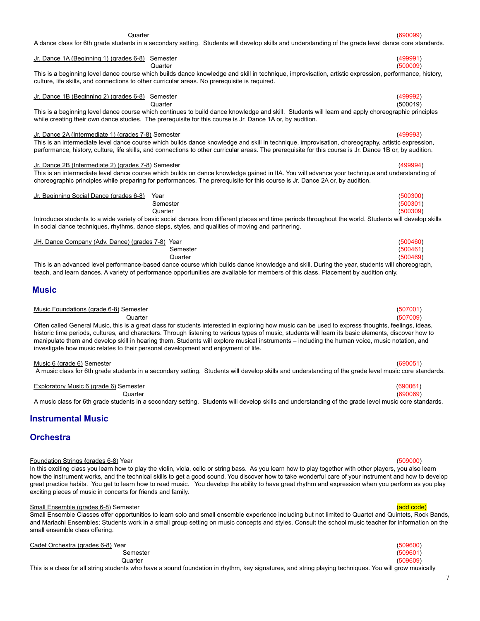This is an advanced level performance-based dance course which builds dance knowledge and skill. During the year, students will choreograph,

### **Music**

Quarter (507009) Often called General Music, this is a great class for students interested in exploring how music can be used to express thoughts, feelings, ideas, historic time periods, cultures, and characters. Through listening to various types of music, students will learn its basic elements, discover how to manipulate them and develop skill in hearing them. Students will explore musical instruments – including the human voice, music notation, and investigate how music relates to their personal development and enjoyment of life.

### Music 6 (grade 6) Semester (690051)

A music class for 6th grade students in a secondary setting. Students will develop skills and understanding of the grade level music core standards.

Quarter (690069) A music class for 6th grade students in a secondary setting. Students will develop skills and understanding of the grade level music core standards.

## **Instrumental Music**

## **Orchestra**

### Foundation Strings **(**grades 6-8) Year (509000)

In this exciting class you learn how to play the violin, viola, cello or string bass. As you learn how to play together with other players, you also learn how the instrument works, and the technical skills to get a good sound. You discover how to take wonderful care of your instrument and how to develop great practice habits. You get to learn how to read music. You develop the ability to have great rhythm and expression when you perform as you play exciting pieces of music in concerts for friends and family.

### Small Ensemble (grades 6-8) Semester (and code) and code (and code) series (and code) semi-

Small Ensemble Classes offer opportunities to learn solo and small ensemble experience including but not limited to Quartet and Quintets, Rock Bands, and Mariachi Ensembles; Students work in a small group setting on music concepts and styles. Consult the school music teacher for information on the small ensemble class offering.

### Cadet Orchestra (grades 6-8) Year (509600)

Semester (509601) Quarter (509609)

This is a class for all string students who have a sound foundation in rhythm, key signatures, and string playing techniques. You will grow musically

#### Quarter (690099) A dance class for 6th grade students in a secondary setting. Students will develop skills and understanding of the grade level dance core standards.

## Jr. Dance 1A (Beginning 1) (grades 6-8) Semester (499991)

Quarter (500009)

This is a beginning level dance course which builds dance knowledge and skill in technique, improvisation, artistic expression, performance, history, culture, life skills, and connections to other curricular areas. No prerequisite is required.

## Jr. Dance 1B (Beginning 2) (grades 6-8) Semester (499992)

Quarter (500019)

This is a beginning level dance course which continues to build dance knowledge and skill. Students will learn and apply choreographic principles while creating their own dance studies. The prerequisite for this course is Jr. Dance 1A or, by audition.

### Jr. Dance 2A (Intermediate 1) (grades 7-8) Semester (499993)

This is an intermediate level dance course which builds dance knowledge and skill in technique, improvisation, choreography, artistic expression, performance, history, culture, life skills, and connections to other curricular areas. The prerequisite for this course is Jr. Dance 1B or, by audition.

### Jr. Dance 2B (Intermediate 2) (grades 7-8) Semester (499994)

This is an intermediate level dance course which builds on dance knowledge gained in IIA. You will advance your technique and understanding of choreographic principles while preparing for performances. The prerequisite for this course is Jr. Dance 2A or, by audition.

| Jr. Beginning Social Dance (grades 6-8) | Year                                                                                                                                                   | (500300) |
|-----------------------------------------|--------------------------------------------------------------------------------------------------------------------------------------------------------|----------|
|                                         | Semester                                                                                                                                               | (500301) |
|                                         | Quarter                                                                                                                                                | (500309) |
|                                         | Introduces students to a wide variety of basic social dances from different places and time periods throughout the world. Students will develop skills |          |
|                                         | in social dance techniques, rhythms, dance steps, styles, and qualities of moving and partnering.                                                      |          |

| JH. Dance Company (Adv. Dance) (grades 7-8) Year |                                                                                                                                           | (500460) |
|--------------------------------------------------|-------------------------------------------------------------------------------------------------------------------------------------------|----------|
|                                                  | Semester                                                                                                                                  | (500461) |
|                                                  | Quarter                                                                                                                                   | (500469) |
|                                                  | This is an advanced level performance-based dance course which builds dance knowledge and skill. During the year, students will choreogra |          |

teach, and learn dances. A variety of performance opportunities are available for members of this class. Placement by audition only.

Music Foundations (grade 6-8) Semester (507001)

Exploratory Music 6 (grade 6) Semester (690061)

 $\overline{1}$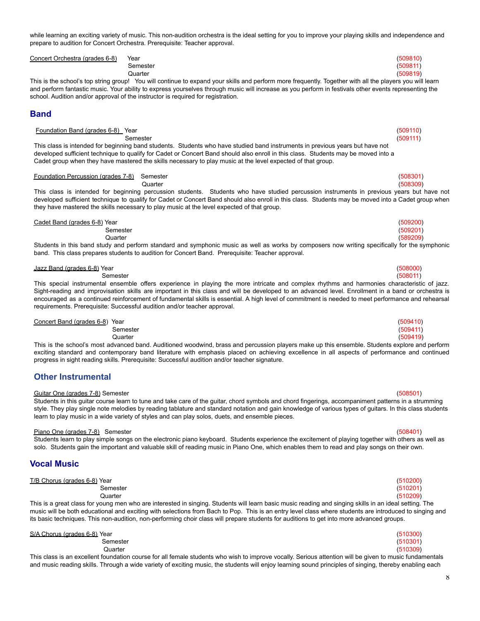while learning an exciting variety of music. This non-audition orchestra is the ideal setting for you to improve your playing skills and independence and prepare to audition for Concert Orchestra. Prerequisite: Teacher approval.

| Concert Orchestra (grades 6-8) | Year     | (509810) |
|--------------------------------|----------|----------|
|                                | Semester | (509811) |
|                                | Quarter  | (509819) |

This is the school's top string group! You will continue to expand your skills and perform more frequently. Together with all the players you will learn and perform fantastic music. Your ability to express yourselves through music will increase as you perform in festivals other events representing the school. Audition and/or approval of the instructor is required for registration.

Foundation Band (grades 6-8) Year (509110)

## **Band**

Semester (509111) This class is intended for beginning band students. Students who have studied band instruments in previous years but have not developed sufficient technique to qualify for Cadet or Concert Band should also enroll in this class. Students may be moved into a Cadet group when they have mastered the skills necessary to play music at the level expected of that group.

### Foundation Percussion (grades 7-8) Semester (508301)

Quarter (508309)

This class is intended for beginning percussion students. Students who have studied percussion instruments in previous years but have not developed sufficient technique to qualify for Cadet or Concert Band should also enroll in this class. Students may be moved into a Cadet group when they have mastered the skills necessary to play music at the level expected of that group.

| Cadet Band (grades 6-8) Year |                                                                                                                                              | (509200) |
|------------------------------|----------------------------------------------------------------------------------------------------------------------------------------------|----------|
|                              | Semester                                                                                                                                     | (509201) |
|                              | Quarter                                                                                                                                      | (589209) |
|                              | Okudanta in this band study and nonform standard and symphonic music as unll as upply by comparence nous undirect marifically far the sympho |          |

Students in this band study and perform standard and symphonic music as well as works by composers now writing specifically for the symphonic band. This class prepares students to audition for Concert Band. Prerequisite: Teacher approval.

#### Jazz Band (grades 6-8) Year (508000)

Semester (508011) This special instrumental ensemble offers experience in playing the more intricate and complex rhythms and harmonies characteristic of jazz. Sight-reading and improvisation skills are important in this class and will be developed to an advanced level. Enrollment in a band or orchestra is

requirements. Prerequisite: Successful audition and/or teacher approval. Concert Band (grades 6-8) Year (509410) Semester (509411) Quarter (509419)

This is the school's most advanced band. Auditioned woodwind, brass and percussion players make up this ensemble. Students explore and perform exciting standard and contemporary band literature with emphasis placed on achieving excellence in all aspects of performance and continued progress in sight reading skills. Prerequisite: Successful audition and/or teacher signature.

encouraged as a continued reinforcement of fundamental skills is essential. A high level of commitment is needed to meet performance and rehearsal

## **Other Instrumental**

### Guitar One (grades 7-8) Semester (508501)

Students in this guitar course learn to tune and take care of the guitar, chord symbols and chord fingerings, accompaniment patterns in a strumming style. They play single note melodies by reading tablature and standard notation and gain knowledge of various types of guitars. In this class students learn to play music in a wide variety of styles and can play solos, duets, and ensemble pieces.

### Piano One (grades 7-8) Semester (508401) Semester (508401)

Students learn to play simple songs on the electronic piano keyboard. Students experience the excitement of playing together with others as well as solo. Students gain the important and valuable skill of reading music in Piano One, which enables them to read and play songs on their own.

### **Vocal Music**

| T/B Chorus (grades 6-8) Year                                                                                                                            | (510200) |
|---------------------------------------------------------------------------------------------------------------------------------------------------------|----------|
| Semester                                                                                                                                                | (510201) |
| Quarter                                                                                                                                                 | (510209) |
| This is a great class for young men who are interested in singing. Students will learn basic music reading and singing skills in an ideal setting. The  |          |
| music will be both educational and exciting with selections from Bach to Pop. This is an entry level class where students are introduced to singing and |          |
| its basic techniques. This non-audition, non-performing choir class will prepare students for auditions to get into more advanced groups.               |          |

| S/A Chorus (grades 6-8) Year |                                                                                                                                                      | (510300) |
|------------------------------|------------------------------------------------------------------------------------------------------------------------------------------------------|----------|
|                              | Semester                                                                                                                                             | (510301) |
|                              | Quarter                                                                                                                                              | (510309) |
|                              | This class is an excellent foundation course for all female students who wish to improve vocally. Serious attention will be given to music fundament |          |

iven to music fundamentals and music reading skills. Through a wide variety of exciting music, the students will enjoy learning sound principles of singing, thereby enabling each

## $\boldsymbol{8}$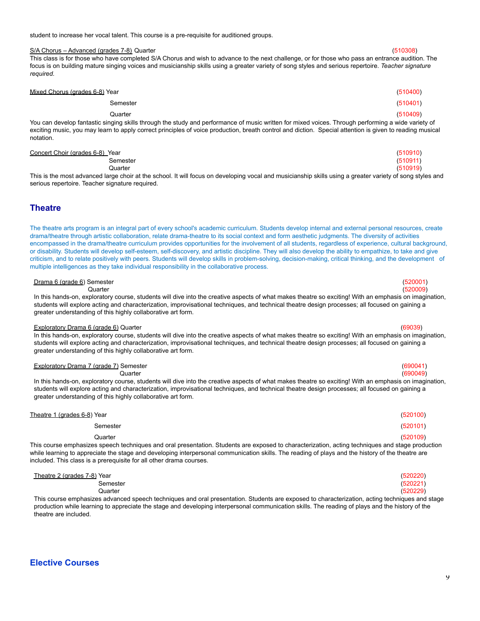student to increase her vocal talent. This course is a pre-requisite for auditioned groups.

#### S/A Chorus – Advanced (grades 7-8) Quarter (510308)

This class is for those who have completed S/A Chorus and wish to advance to the next challenge, or for those who pass an entrance audition. The focus is on building mature singing voices and musicianship skills using a greater variety of song styles and serious repertoire. *Teacher signature required.*

| Mixed Chorus (grades 6-8) Year | (510400) |
|--------------------------------|----------|
| Semester                       | (510401) |
| Quarter                        | (510409) |

You can develop fantastic singing skills through the study and performance of music written for mixed voices. Through performing a wide variety of exciting music, you may learn to apply correct principles of voice production, breath control and diction. Special attention is given to reading musical notation.

| Concert Choir (grades 6-8) Year | (510910) |
|---------------------------------|----------|
| 3emester                        | (510911) |
| Quarter                         | (510919) |
|                                 |          |

This is the most advanced large choir at the school. It will focus on developing vocal and musicianship skills using a greater variety of song styles and serious repertoire. Teacher signature required.

### **Theatre**

The theatre arts program is an integral part of every school's academic curriculum. Students develop internal and external personal resources, create drama/theatre through artistic collaboration, relate drama-theatre to its social context and form aesthetic judgments. The diversity of activities encompassed in the drama/theatre curriculum provides opportunities for the involvement of all students, regardless of experience, cultural background, or disability. Students will develop self-esteem, self-discovery, and artistic discipline. They will also develop the ability to empathize, to take and give criticism, and to relate positively with peers. Students will develop skills in problem-solving, decision-making, critical thinking, and the development of multiple intelligences as they take individual responsibility in the collaborative process.

### Drama 6 (grade 6) Semester (520001)

Quarter (520009)

In this hands-on, exploratory course, students will dive into the creative aspects of what makes theatre so exciting! With an emphasis on imagination, students will explore acting and characterization, improvisational techniques, and technical theatre design processes; all focused on gaining a greater understanding of this highly collaborative art form.

#### Exploratory Drama 6 (grade 6) Quarter (69039)

In this hands-on, exploratory course, students will dive into the creative aspects of what makes theatre so exciting! With an emphasis on imagination, students will explore acting and characterization, improvisational techniques, and technical theatre design processes; all focused on gaining a greater understanding of this highly collaborative art form.

| Exploratory Drama 7 (grade 7) Semester                                                                                                                                                                                                                                                                                                                                    | (690041) |
|---------------------------------------------------------------------------------------------------------------------------------------------------------------------------------------------------------------------------------------------------------------------------------------------------------------------------------------------------------------------------|----------|
| Quarter                                                                                                                                                                                                                                                                                                                                                                   | (690049) |
| In this hands-on, exploratory course, students will dive into the creative aspects of what makes theatre so exciting! With an emphasis on imagination,<br>students will explore acting and characterization, improvisational techniques, and technical theatre design processes; all focused on gaining a<br>greater understanding of this highly collaborative art form. |          |

| Theatre 1 (grades 6-8) Year |          | (520100) |
|-----------------------------|----------|----------|
|                             | Semester | (520101) |
| ___                         | Quarter  | (520109) |

This course emphasizes speech techniques and oral presentation. Students are exposed to characterization, acting techniques and stage production while learning to appreciate the stage and developing interpersonal communication skills. The reading of plays and the history of the theatre are included. This class is a prerequisite for all other drama courses.

| Theatre 2 (grades 7-8) Year | (520220) |
|-----------------------------|----------|
| Semester                    | (520221) |
| Quarter                     | (520229) |

This course emphasizes advanced speech techniques and oral presentation. Students are exposed to characterization, acting techniques and stage production while learning to appreciate the stage and developing interpersonal communication skills. The reading of plays and the history of the theatre are included.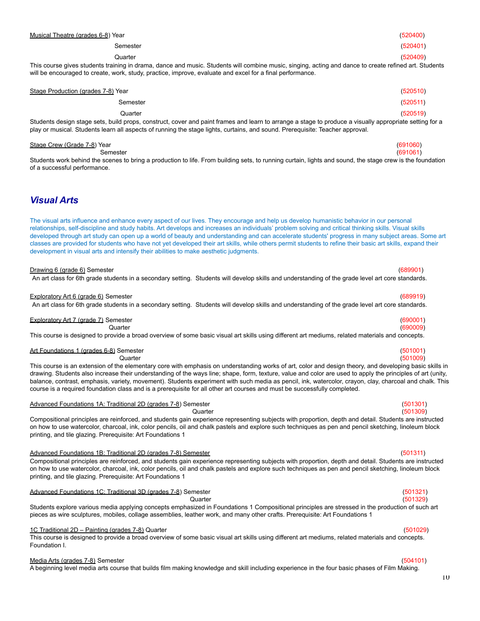### Musical Theatre (grades 6-8) Year (520400)

## Semester (520401)

#### Quarter (520409) This course gives students training in drama, dance and music. Students will combine music, singing, acting and dance to create refined art. Students will be encouraged to create, work, study, practice, improve, evaluate and excel for a final performance.

| Stage Production (grades 7-8) Year                                                                                                                    | (520510) |
|-------------------------------------------------------------------------------------------------------------------------------------------------------|----------|
| Semester                                                                                                                                              | (520511) |
| Quarter                                                                                                                                               | (520519) |
| Ctudents design stage sets huild props construct, cover and paint frames and learn to arrange a stage to produce a visually appropriate setting for a |          |

Students design stage sets, build props, construct, cover and paint trames and learn to arrange a stage to produce a visually appropriate setting for a play or musical. Students learn all aspects of running the stage lights, curtains, and sound. Prerequisite: Teacher approval.

### Stage Crew (Grade 7-8) Year (691060) (691060)

#### Semester (691061)

Students work behind the scenes to bring a production to life. From building sets, to running curtain, lights and sound, the stage crew is the foundation of a successful performance.

## *Visual Arts*

The visual arts influence and enhance every aspect of our lives. They encourage and help us develop humanistic behavior in our personal relationships, self-discipline and study habits. Art develops and increases an individuals' problem solving and critical thinking skills. Visual skills developed through art study can open up a world of beauty and understanding and can accelerate students' progress in many subject areas. Some art classes are provided for students who have not yet developed their art skills, while others permit students to refine their basic art skills, expand their development in visual arts and intensify their abilities to make aesthetic judgments.

### Drawing 6 (grade 6) Semester (689901)

### An art class for 6th grade students in a secondary setting. Students will develop skills and understanding of the grade level art core standards.

### Exploratory Art 6 (grade 6) Semester (689919)

### An art class for 6th grade students in a secondary setting. Students will develop skills and understanding of the grade level art core standards.

#### Exploratory Art 7 (grade 7) Semester (690001)

Quarter (690009) This course is designed to provide a broad overview of some basic visual art skills using different art mediums, related materials and concepts.

### Art Foundations 1 (grades 6-8) Semester (501001)

Quarter (501009) This course is an extension of the elementary core with emphasis on understanding works of art, color and design theory, and developing basic skills in drawing. Students also increase their understanding of the ways line; shape, form, texture, value and color are used to apply the principles of art (unity, balance, contrast, emphasis, variety, movement). Students experiment with such media as pencil, ink, watercolor, crayon, clay, charcoal and chalk. This course is a required foundation class and is a prerequisite for all other art courses and must be successfully completed.

### Advanced Foundations 1A: Traditional 2D (grades 7-8) Semester (501301) Semester (501301)

Quarter (501309) Compositional principles are reinforced, and students gain experience representing subjects with proportion, depth and detail. Students are instructed on how to use watercolor, charcoal, ink, color pencils, oil and chalk pastels and explore such techniques as pen and pencil sketching, linoleum block printing, and tile glazing. Prerequisite: Art Foundations 1

### Advanced Foundations 1B: Traditional 2D (grades 7-8) Semester (501311)

Compositional principles are reinforced, and students gain experience representing subjects with proportion, depth and detail. Students are instructed on how to use watercolor, charcoal, ink, color pencils, oil and chalk pastels and explore such techniques as pen and pencil sketching, linoleum block printing, and tile glazing. Prerequisite: Art Foundations 1

### Advanced Foundations 1C: Traditional 3D (grades 7-8) Semester (501321) Semester (501321)

Quarter (501329) Students explore various media applying concepts emphasized in Foundations 1 Compositional principles are stressed in the production of such art pieces as wire sculptures, mobiles, collage assemblies, leather work, and many other crafts. Prerequisite: Art Foundations 1

### 1C Traditional 2D – Painting (grades 7-8) Quarter (501029)

This course is designed to provide a broad overview of some basic visual art skills using different art mediums, related materials and concepts. Foundation I.

### Media Arts (grades 7-8) Semester (504101)

A beginning level media arts course that builds film making knowledge and skill including experience in the four basic phases of Film Making.

## 10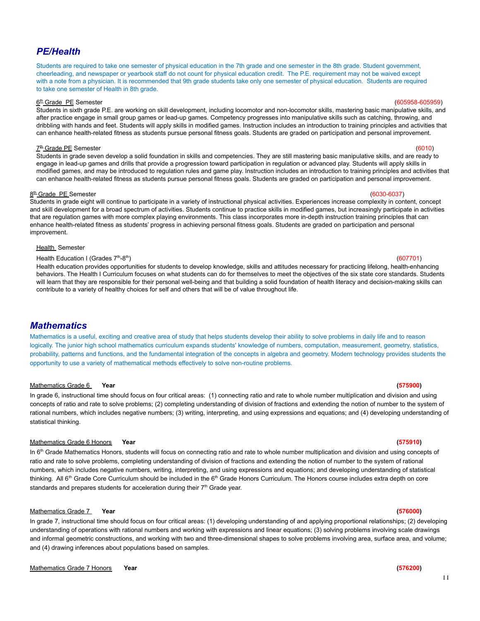## *PE/Health*

Students are required to take one semester of physical education in the 7th grade and one semester in the 8th grade. Student government, cheerleading, and newspaper or yearbook staff do not count for physical education credit. The P.E. requirement may not be waived except with a note from a physician. It is recommended that 9th grade students take only one semester of physical education. Students are required to take one semester of Health in 8th grade.

### $\underline{6^{\text{th}}}$  Grade PE Semester (605958-605959)

Students in sixth grade P.E. are working on skill development, including locomotor and non-locomotor skills, mastering basic manipulative skills, and after practice engage in small group games or lead-up games. Competency progresses into manipulative skills such as catching, throwing, and dribbling with hands and feet. Students will apply skills in modified games. Instruction includes an introduction to training principles and activities that can enhance health-related fitness as students pursue personal fitness goals. Students are graded on participation and personal improvement.

### $\mathcal{I}^{\text{th}}$  Grade PE Semester (6010) (6010)

Students in grade seven develop a solid foundation in skills and competencies. They are still mastering basic manipulative skills, and are ready to engage in lead-up games and drills that provide a progression toward participation in regulation or advanced play. Students will apply skills in modified games, and may be introduced to regulation rules and game play. Instruction includes an introduction to training principles and activities that can enhance health-related fitness as students pursue personal fitness goals. Students are graded on participation and personal improvement.

### $8<sup>th</sup>$  Grade PE Semester (6030-6037)

Students in grade eight will continue to participate in a variety of instructional physical activities. Experiences increase complexity in content, concept and skill development for a broad spectrum of activities. Students continue to practice skills in modified games, but increasingly participate in activities that are regulation games with more complex playing environments. This class incorporates more in-depth instruction training principles that can enhance health-related fitness as students' progress in achieving personal fitness goals. Students are graded on participation and personal improvement.

### **Health** Semester

### Health Education I (Grades 7<sup>th</sup>-8<sup>th</sup>

Health education provides opportunities for students to develop knowledge, skills and attitudes necessary for practicing lifelong, health-enhancing behaviors. The Health I Curriculum focuses on what students can do for themselves to meet the objectives of the six state core standards. Students will learn that they are responsible for their personal well-being and that building a solid foundation of health literacy and decision-making skills can contribute to a variety of healthy choices for self and others that will be of value throughout life.

## *Mathematics*

Mathematics is a useful, exciting and creative area of study that helps students develop their ability to solve problems in daily life and to reason logically. The junior high school mathematics curriculum expands students' knowledge of numbers, computation, measurement, geometry, statistics, probability, patterns and functions, and the fundamental integration of the concepts in algebra and geometry. Modern technology provides students the opportunity to use a variety of mathematical methods effectively to solve non-routine problems.

### Mathematics Grade 6 **Year (575900)**

In grade 6, instructional time should focus on four critical areas: (1) connecting ratio and rate to whole number multiplication and division and using concepts of ratio and rate to solve problems; (2) completing understanding of division of fractions and extending the notion of number to the system of rational numbers, which includes negative numbers; (3) writing, interpreting, and using expressions and equations; and (4) developing understanding of statistical thinking.

### Mathematics Grade 6 Honors **Year (575910)**

In 6<sup>th</sup> Grade Mathematics Honors, students will focus on connecting ratio and rate to whole number multiplication and division and using concepts of ratio and rate to solve problems, completing understanding of division of fractions and extending the notion of number to the system of rational numbers, which includes negative numbers, writing, interpreting, and using expressions and equations; and developing understanding of statistical thinking. All 6<sup>th</sup> Grade Core Curriculum should be included in the 6<sup>th</sup> Grade Honors Curriculum. The Honors course includes extra depth on core standards and prepares students for acceleration during their  $7<sup>th</sup>$  Grade year.

### Mathematics Grade 7 **Year (576000)**

In grade 7, instructional time should focus on four critical areas: (1) developing understanding of and applying proportional relationships; (2) developing understanding of operations with rational numbers and working with expressions and linear equations; (3) solving problems involving scale drawings and informal geometric constructions, and working with two and three-dimensional shapes to solve problems involving area, surface area, and volume; and (4) drawing inferences about populations based on samples.

#### 11

### ) and (607701) in the contract of  $(607701)$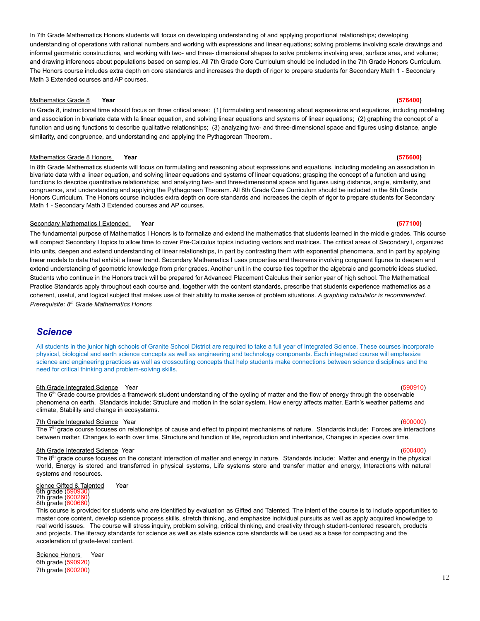In 7th Grade Mathematics Honors students will focus on developing understanding of and applying proportional relationships; developing understanding of operations with rational numbers and working with expressions and linear equations; solving problems involving scale drawings and informal geometric constructions, and working with two- and three- dimensional shapes to solve problems involving area, surface area, and volume; and drawing inferences about populations based on samples. All 7th Grade Core Curriculum should be included in the 7th Grade Honors Curriculum. The Honors course includes extra depth on core standards and increases the depth of rigor to prepare students for Secondary Math 1 - Secondary Math 3 Extended courses and AP courses.

### Mathematics Grade 8 **Year (576400)**

In Grade 8, instructional time should focus on three critical areas: (1) formulating and reasoning about expressions and equations, including modeling and association in bivariate data with la linear equation, and solving linear equations and systems of linear equations; (2) graphing the concept of a function and using functions to describe qualitative relationships; (3) analyzing two- and three-dimensional space and figures using distance, angle similarity, and congruence, and understanding and applying the Pythagorean Theorem..

#### Mathematics Grade 8 Honors **Year (576600)**

In 8th Grade Mathematics students will focus on formulating and reasoning about expressions and equations, including modeling an association in bivariate data with a linear equation, and solving linear equations and systems of linear equations; grasping the concept of a function and using functions to describe quantitative relationships; and analyzing two- and three-dimensional space and figures using distance, angle, similarity, and congruence, and understanding and applying the Pythagorean Theorem. All 8th Grade Core Curriculum should be included in the 8th Grade Honors Curriculum. The Honors course includes extra depth on core standards and increases the depth of rigor to prepare students for Secondary Math 1 - Secondary Math 3 Extended courses and AP courses.

### Secondary Mathematics I Extended **Year (577100)**

The fundamental purpose of Mathematics I Honors is to formalize and extend the mathematics that students learned in the middle grades. This course will compact Secondary I topics to allow time to cover Pre-Calculus topics including vectors and matrices. The critical areas of Secondary I, organized into units, deepen and extend understanding of linear relationships, in part by contrasting them with exponential phenomena, and in part by applying linear models to data that exhibit a linear trend. Secondary Mathematics I uses properties and theorems involving congruent figures to deepen and extend understanding of geometric knowledge from prior grades. Another unit in the course ties together the algebraic and geometric ideas studied. Students who continue in the Honors track will be prepared for Advanced Placement Calculus their senior year of high school. The Mathematical Practice Standards apply throughout each course and, together with the content standards, prescribe that students experience mathematics as a coherent, useful, and logical subject that makes use of their ability to make sense of problem situations. *A graphing calculator is recommended. Prerequisite: 8 th Grade Mathematics Honors*

## *Science*

All students in the junior high schools of Granite School District are required to take a full year of Integrated Science. These courses incorporate physical, biological and earth science concepts as well as engineering and technology components. Each integrated course will emphasize science and engineering practices as well as crosscutting concepts that help students make connections between science disciplines and the need for critical thinking and problem-solving skills.

#### 6th Grade Integrated Science Year (590910)

The 6<sup>th</sup> Grade course provides a framework student understanding of the cycling of matter and the flow of energy through the observable phenomena on earth. Standards include: Structure and motion in the solar system, How energy affects matter, Earth's weather patterns and climate, Stability and change in ecosystems.

#### 7th Grade Integrated Science Year (600000)

The 7<sup>th</sup> grade course focuses on relationships of cause and effect to pinpoint mechanisms of nature. Standards include: Forces are interactions between matter, Changes to earth over time, Structure and function of life, reproduction and inheritance, Changes in species over time.

#### 8th Grade Integrated Science Year (600400)

The 8<sup>th</sup> grade course focuses on the constant interaction of matter and energy in nature. Standards include: Matter and energy in the physical world, Energy is stored and transferred in physical systems, Life systems store and transfer matter and energy, Interactions with natural systems and resources.

## cience Gifted & Talented Year<br>6th grade (590930)

### 7th grade (600260 8th grade (600660)

This course is provided for students who are identified by evaluation as Gifted and Talented. The intent of the course is to include opportunities to master core content, develop science process skills, stretch thinking, and emphasize individual pursuits as well as apply acquired knowledge to real world issues. The course will stress inquiry, problem solving, critical thinking, and creativity through student-centered research, products and projects. The literacy standards for science as well as state science core standards will be used as a base for compacting and the acceleration of grade-level content.

Science Honors Year 6th grade (590920) 7th grade (600200)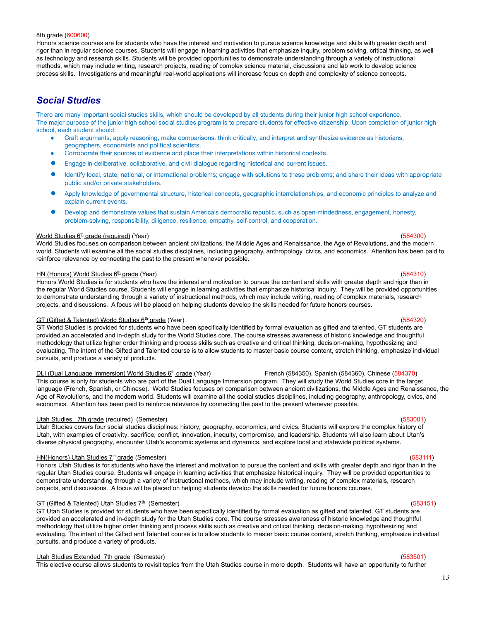#### 8th grade (600600)

Honors science courses are for students who have the interest and motivation to pursue science knowledge and skills with greater depth and rigor than in regular science courses. Students will engage in learning activities that emphasize inquiry, problem solving, critical thinking, as well as technology and research skills. Students will be provided opportunities to demonstrate understanding through a variety of instructional methods, which may include writing, research projects, reading of complex science material, discussions and lab work to develop science process skills. Investigations and meaningful real-world applications will increase focus on depth and complexity of science concepts.

## *Social Studies*

There are many important social studies skills, which should be developed by all students during their junior high school experience. The major purpose of the junior high school social studies program is to prepare students for effective citizenship. Upon completion of junior high school, each student should:

- Craft arguments, apply reasoning, make comparisons, think critically, and interpret and synthesize evidence as historians, geographers, economists and political scientists.
- Corroborate their sources of evidence and place their interpretations within historical contexts.
- Engage in deliberative, collaborative, and civil dialogue regarding historical and current issues.
- Identify local, state, national, or international problems; engage with solutions to these problems; and share their ideas with appropriate public and/or private stakeholders.
- Apply knowledge of governmental structure, historical concepts, geographic interrelationships, and economic principles to analyze and explain current events.
- Develop and demonstrate values that sustain America's democratic republic, such as open-mindedness, engagement, honesty, problem-solving, responsibility, diligence, resilience, empathy, self-control, and cooperation.

#### $0$  World Studies  $6<sup>th</sup>$  grade (required) (Year) (584300) (584300)

World Studies focuses on comparison between ancient civilizations, the Middle Ages and Renaissance, the Age of Revolutions, and the modern world. Students will examine all the social studies disciplines, including geography, anthropology, civics, and economics. Attention has been paid to reinforce relevance by connecting the past to the present whenever possible.

#### HN (Honors) World Studies  $6^{\text{th}}$  grade (Year) (584310) (584310)

Honors World Studies is for students who have the interest and motivation to pursue the content and skills with greater depth and rigor than in the regular World Studies course. Students will engage in learning activities that emphasize historical inquiry. They will be provided opportunities to demonstrate understanding through a variety of instructional methods, which may include writing, reading of complex materials, research projects, and discussions. A focus will be placed on helping students develop the skills needed for future honors courses.

#### GT (Gifted & Talented) World Studies 6<sup>th</sup> grade (Year)  $(584320)$

GT World Studies is provided for students who have been specifically identified by formal evaluation as gifted and talented. GT students are provided an accelerated and in-depth study for the World Studies core. The course stresses awareness of historic knowledge and thoughtful methodology that utilize higher order thinking and process skills such as creative and critical thinking, decision-making, hypothesizing and evaluating. The intent of the Gifted and Talented course is to allow students to master basic course content, stretch thinking, emphasize individual pursuits, and produce a variety of products.

DLI (Dual Language Immersion) World Studies 6<sup>th</sup> grade (Year) French (584350), Spanish (584360), Chinese (584370) This course is only for students who are part of the Dual Language Immersion program. They will study the World Studies core in the target language (French, Spanish, or Chinese). World Studies focuses on comparison between ancient civilizations, the Middle Ages and Renaissance, the Age of Revolutions, and the modern world. Students will examine all the social studies disciplines, including geography, anthropology, civics, and economics. Attention has been paid to reinforce relevance by connecting the past to the present whenever possible.

#### Utah Studies 7th grade (required) (Semester) (583001) (583001)

Utah Studies covers four social studies disciplines: history, geography, economics, and civics. Students will explore the complex history of Utah, with examples of creativity, sacrifice, conflict, innovation, inequity, compromise, and leadership. Students will also learn about Utah's diverse physical geography, encounter Utah's economic systems and dynamics, and explore local and statewide political systems.

#### HN(Honors) Utah Studies 7<sup>th</sup> grade (Semester) (583111) (583111)

Honors Utah Studies is for students who have the interest and motivation to pursue the content and skills with greater depth and rigor than in the regular Utah Studies course. Students will engage in learning activities that emphasize historical inquiry. They will be provided opportunities to demonstrate understanding through a variety of instructional methods, which may include writing, reading of complex materials, research projects, and discussions. A focus will be placed on helping students develop the skills needed for future honors courses.

#### GT (Gifted & Talented) Utah Studies  $7<sup>th</sup>$ (Semester) (583151)

GT Utah Studies is provided for students who have been specifically identified by formal evaluation as gifted and talented. GT students are provided an accelerated and in-depth study for the Utah Studies core. The course stresses awareness of historic knowledge and thoughtful methodology that utilize higher order thinking and process skills such as creative and critical thinking, decision-making, hypothesizing and evaluating. The intent of the Gifted and Talented course is to allow students to master basic course content, stretch thinking, emphasize individual pursuits, and produce a variety of products.

### Utah Studies Extended 7th grade (Semester) (583501)

This elective course allows students to revisit topics from the Utah Studies course in more depth. Students will have an opportunity to further

### 13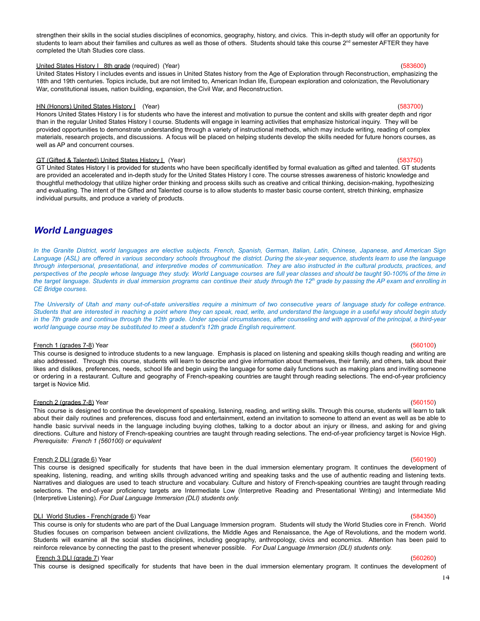### strengthen their skills in the social studies disciplines of economics, geography, history, and civics. This in-depth study will offer an opportunity for students to learn about their families and cultures as well as those of others. Students should take this course 2<sup>nd</sup> semester AFTER they have completed the Utah Studies core class.

#### United States History 1 8th grade (required) (Year) (583600)

United States History I includes events and issues in United States history from the Age of Exploration through Reconstruction, emphasizing the 18th and 19th centuries. Topics include, but are not limited to, American Indian life, European exploration and colonization, the Revolutionary War, constitutional issues, nation building, expansion, the Civil War, and Reconstruction.

#### HN (Honors) United States History I (Year) (583700) (583700)

Honors United States History I is for students who have the interest and motivation to pursue the content and skills with greater depth and rigor than in the regular United States History I course. Students will engage in learning activities that emphasize historical inquiry. They will be provided opportunities to demonstrate understanding through a variety of instructional methods, which may include writing, reading of complex materials, research projects, and discussions. A focus will be placed on helping students develop the skills needed for future honors courses, as well as AP and concurrent courses.

### GT (Gifted & Talented) United States History I (Year) (583750) (583750)

GT United States History I is provided for students who have been specifically identified by formal evaluation as gifted and talented. GT students are provided an accelerated and in-depth study for the United States History I core. The course stresses awareness of historic knowledge and thoughtful methodology that utilize higher order thinking and process skills such as creative and critical thinking, decision-making, hypothesizing and evaluating. The intent of the Gifted and Talented course is to allow students to master basic course content, stretch thinking, emphasize individual pursuits, and produce a variety of products.

## *World Languages*

In the Granite District, world languages are elective subjects. French, Spanish, German, Italian, Latin, Chinese, Japanese, and American Sign Language (ASL) are offered in various secondary schools throughout the district. During the six-year sequence, students learn to use the language through interpersonal, presentational, and interpretive modes of communication. They are also instructed in the cultural products, practices, and perspectives of the people whose language they study. World Language courses are full year classes and should be taught 90-100% of the time in the target language. Students in dual immersion programs can continue their study through the 12<sup>th</sup> grade by passing the AP exam and enrolling in *CE Bridge courses.*

The University of Utah and many out-of-state universities require a minimum of two consecutive years of language study for college entrance. Students that are interested in reaching a point where they can speak, read, write, and understand the language in a useful way should begin study in the 7th grade and continue through the 12th grade. Under special circumstances, after counseling and with approval of the principal, a third-year *world language course may be substituted to meet a student's 12th grade English requirement.*

### French 1 (grades 7-8) Year (560100)

This course is designed to introduce students to a new language. Emphasis is placed on listening and speaking skills though reading and writing are also addressed. Through this course, students will learn to describe and give information about themselves, their family, and others, talk about their likes and dislikes, preferences, needs, school life and begin using the language for some daily functions such as making plans and inviting someone or ordering in a restaurant. Culture and geography of French-speaking countries are taught through reading selections. The end-of-year proficiency target is Novice Mid.

### French 2 (grades 7-8) Year (560150)

This course is designed to continue the development of speaking, listening, reading, and writing skills. Through this course, students will learn to talk about their daily routines and preferences, discuss food and entertainment, extend an invitation to someone to attend an event as well as be able to handle basic survival needs in the language including buying clothes, talking to a doctor about an injury or illness, and asking for and giving directions. Culture and history of French-speaking countries are taught through reading selections. The end-of-year proficiency target is Novice High. *Prerequisite: French 1 (560100) or equivalent*

#### French 2 DLI (grade 6) Year (560190)

This course is designed specifically for students that have been in the dual immersion elementary program. It continues the development of speaking, listening, reading, and writing skills through advanced writing and speaking tasks and the use of authentic reading and listening texts. Narratives and dialogues are used to teach structure and vocabulary. Culture and history of French-speaking countries are taught through reading selections. The end-of-year proficiency targets are Intermediate Low (Interpretive Reading and Presentational Writing) and Intermediate Mid (Interpretive Listening). *For Dual Language Immersion (DLI) students only.*

### DLI World Studies - French(grade 6) Year (584350)

This course is only for students who are part of the Dual Language Immersion program. Students will study the World Studies core in French. World Studies focuses on comparison between ancient civilizations, the Middle Ages and Renaissance, the Age of Revolutions, and the modern world. Students will examine all the social studies disciplines, including geography, anthropology, civics and economics. Attention has been paid to reinforce relevance by connecting the past to the present whenever possible. *For Dual Language Immersion (DLI) students only.*

#### French 3 DLI (grade 7) Year (560260)

This course is designed specifically for students that have been in the dual immersion elementary program. It continues the development of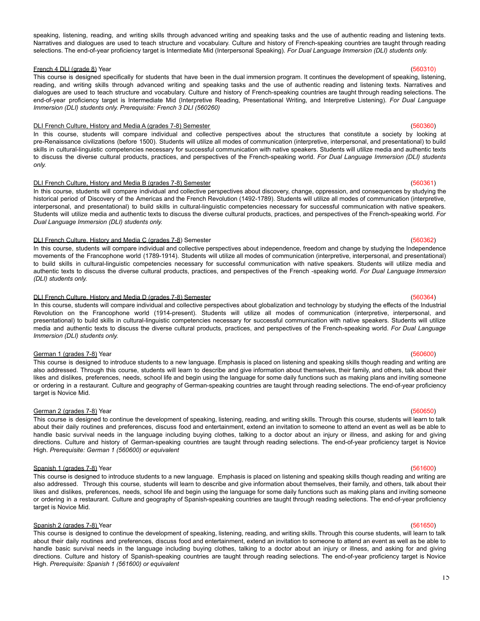### speaking, listening, reading, and writing skills through advanced writing and speaking tasks and the use of authentic reading and listening texts. Narratives and dialogues are used to teach structure and vocabulary. Culture and history of French-speaking countries are taught through reading selections. The end-of-year proficiency target is Intermediate Mid (Interpersonal Speaking). *For Dual Language Immersion (DLI) students only.*

### French 4 DLI (grade 8) Year (560310)

This course is designed specifically for students that have been in the dual immersion program. It continues the development of speaking, listening, reading, and writing skills through advanced writing and speaking tasks and the use of authentic reading and listening texts. Narratives and dialogues are used to teach structure and vocabulary. Culture and history of French-speaking countries are taught through reading selections. The end-of-year proficiency target is Intermediate Mid (Interpretive Reading, Presentational Writing, and Interpretive Listening). *For Dual Language Immersion (DLI) students only. Prerequisite: French 3 DLI (560260)*

### DLI French Culture, History and Media A (grades 7-8) Semester (560360)

In this course, students will compare individual and collective perspectives about the structures that constitute a society by looking at pre-Renaissance civilizations (before 1500). Students will utilize all modes of communication (interpretive, interpersonal, and presentational) to build skills in cultural-linguistic competencies necessary for successful communication with native speakers. Students will utilize media and authentic texts to discuss the diverse cultural products, practices, and perspectives of the French-speaking world. *For Dual Language Immersion (DLI) students only.*

### DLI French Culture, History and Media B (grades 7-8) Semester (560361)

In this course, students will compare individual and collective perspectives about discovery, change, oppression, and consequences by studying the historical period of Discovery of the Americas and the French Revolution (1492-1789). Students will utilize all modes of communication (interpretive, interpersonal, and presentational) to build skills in cultural-linguistic competencies necessary for successful communication with native speakers. Students will utilize media and authentic texts to discuss the diverse cultural products, practices, and perspectives of the French-speaking world. *For Dual Language Immersion (DLI) students only.*

### DLI French Culture, History and Media C (grades 7-8) Semester (560362)

In this course, students will compare individual and collective perspectives about independence, freedom and change by studying the Independence movements of the Francophone world (1789-1914). Students will utilize all modes of communication (interpretive, interpersonal, and presentational) to build skills in cultural-linguistic competencies necessary for successful communication with native speakers. Students will utilize media and authentic texts to discuss the diverse cultural products, practices, and perspectives of the French -speaking world. *For Dual Language Immersion (DLI) students only.*

### DLI French Culture, History and Media D (grades 7-8) Semester (560364)

In this course, students will compare individual and collective perspectives about globalization and technology by studying the effects of the Industrial Revolution on the Francophone world (1914-present). Students will utilize all modes of communication (interpretive, interpersonal, and presentational) to build skills in cultural-linguistic competencies necessary for successful communication with native speakers. Students will utilize media and authentic texts to discuss the diverse cultural products, practices, and perspectives of the French-speaking world. *For Dual Language Immersion (DLI) students only.*

### German 1 (grades 7-8) Year (560600)

This course is designed to introduce students to a new language. Emphasis is placed on listening and speaking skills though reading and writing are also addressed. Through this course, students will learn to describe and give information about themselves, their family, and others, talk about their likes and dislikes, preferences, needs, school life and begin using the language for some daily functions such as making plans and inviting someone or ordering in a restaurant. Culture and geography of German-speaking countries are taught through reading selections. The end-of-year proficiency target is Novice Mid.

### German 2 (grades 7-8) Year (560650)

This course is designed to continue the development of speaking, listening, reading, and writing skills. Through this course, students will learn to talk about their daily routines and preferences, discuss food and entertainment, extend an invitation to someone to attend an event as well as be able to handle basic survival needs in the language including buying clothes, talking to a doctor about an injury or illness, and asking for and giving directions. Culture and history of German-speaking countries are taught through reading selections. The end-of-year proficiency target is Novice High. *Prerequisite: German 1 (560600) or equivalent*

### Spanish 1 (grades 7-8) Year (561600)

This course is designed to introduce students to a new language. Emphasis is placed on listening and speaking skills though reading and writing are also addressed. Through this course, students will learn to describe and give information about themselves, their family, and others, talk about their likes and dislikes, preferences, needs, school life and begin using the language for some daily functions such as making plans and inviting someone or ordering in a restaurant. Culture and geography of Spanish-speaking countries are taught through reading selections. The end-of-year proficiency target is Novice Mid.

### Spanish 2 (grades 7-8) Year (561650)

This course is designed to continue the development of speaking, listening, reading, and writing skills. Through this course students, will learn to talk about their daily routines and preferences, discuss food and entertainment, extend an invitation to someone to attend an event as well as be able to handle basic survival needs in the language including buying clothes, talking to a doctor about an injury or illness, and asking for and giving directions. Culture and history of Spanish-speaking countries are taught through reading selections. The end-of-year proficiency target is Novice High. *Prerequisite: Spanish 1 (561600) or equivalent*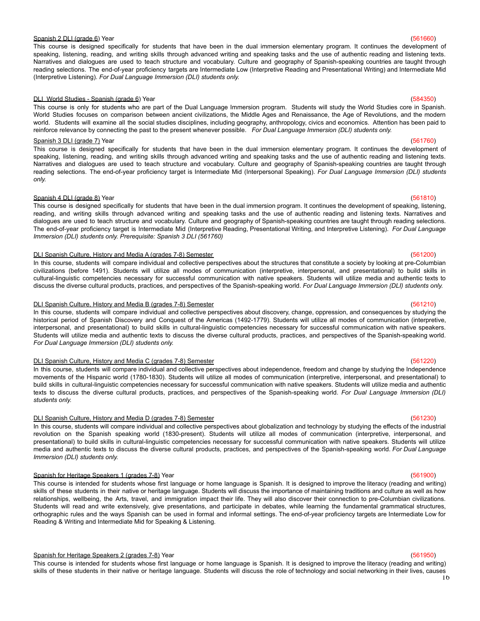### Spanish 2 DLI (grade 6) Year (561660)

### This course is designed specifically for students that have been in the dual immersion elementary program. It continues the development of speaking, listening, reading, and writing skills through advanced writing and speaking tasks and the use of authentic reading and listening texts. Narratives and dialogues are used to teach structure and vocabulary. Culture and geography of Spanish-speaking countries are taught through reading selections. The end-of-year proficiency targets are Intermediate Low (Interpretive Reading and Presentational Writing) and Intermediate Mid (Interpretive Listening). *For Dual Language Immersion (DLI) students only.*

### DLI World Studies - Spanish (grade 6) Year (584350)

This course is only for students who are part of the Dual Language Immersion program. Students will study the World Studies core in Spanish. World Studies focuses on comparison between ancient civilizations, the Middle Ages and Renaissance, the Age of Revolutions, and the modern world. Students will examine all the social studies disciplines, including geography, anthropology, civics and economics. Attention has been paid to reinforce relevance by connecting the past to the present whenever possible. *For Dual Language Immersion (DLI) students only.*

### Spanish 3 DLI (grade 7) Year (561760)

This course is designed specifically for students that have been in the dual immersion elementary program. It continues the development of speaking, listening, reading, and writing skills through advanced writing and speaking tasks and the use of authentic reading and listening texts. Narratives and dialogues are used to teach structure and vocabulary. Culture and geography of Spanish-speaking countries are taught through reading selections. The end-of-year proficiency target is Intermediate Mid (Interpersonal Speaking). *For Dual Language Immersion (DLI) students only.*

#### Spanish 4 DLI (grade 8) Year (561810)

This course is designed specifically for students that have been in the dual immersion program. It continues the development of speaking, listening, reading, and writing skills through advanced writing and speaking tasks and the use of authentic reading and listening texts. Narratives and dialogues are used to teach structure and vocabulary. Culture and geography of Spanish-speaking countries are taught through reading selections. The end-of-year proficiency target is Intermediate Mid (Interpretive Reading, Presentational Writing, and Interpretive Listening). *For Dual Language Immersion (DLI) students only. Prerequisite: Spanish 3 DLI (561760)*

### DLI Spanish Culture, History and Media A (grades 7-8) Semester (561200)

In this course, students will compare individual and collective perspectives about the structures that constitute a society by looking at pre-Columbian civilizations (before 1491). Students will utilize all modes of communication (interpretive, interpersonal, and presentational) to build skills in cultural-linguistic competencies necessary for successful communication with native speakers. Students will utilize media and authentic texts to discuss the diverse cultural products, practices, and perspectives of the Spanish-speaking world. *For Dual Language Immersion (DLI) students only.*

#### DLI Spanish Culture, History and Media B (grades 7-8) Semester (561210)

In this course, students will compare individual and collective perspectives about discovery, change, oppression, and consequences by studying the historical period of Spanish Discovery and Conquest of the Americas (1492-1779). Students will utilize all modes of communication (interpretive, interpersonal, and presentational) to build skills in cultural-linguistic competencies necessary for successful communication with native speakers. Students will utilize media and authentic texts to discuss the diverse cultural products, practices, and perspectives of the Spanish-speaking world. *For Dual Language Immersion (DLI) students only.*

#### DLI Spanish Culture, History and Media C (grades 7-8) Semester (561220)

In this course, students will compare individual and collective perspectives about independence, freedom and change by studying the Independence movements of the Hispanic world (1780-1830). Students will utilize all modes of communication (interpretive, interpersonal, and presentational) to build skills in cultural-linguistic competencies necessary for successful communication with native speakers. Students will utilize media and authentic texts to discuss the diverse cultural products, practices, and perspectives of the Spanish-speaking world. *For Dual Language Immersion (DLI) students only.*

### DLI Spanish Culture, History and Media D (grades 7-8) Semester (561230)

In this course, students will compare individual and collective perspectives about globalization and technology by studying the effects of the industrial revolution on the Spanish speaking world (1830-present). Students will utilize all modes of communication (interpretive, interpersonal, and presentational) to build skills in cultural-linguistic competencies necessary for successful communication with native speakers. Students will utilize media and authentic texts to discuss the diverse cultural products, practices, and perspectives of the Spanish-speaking world. *For Dual Language Immersion (DLI) students only.*

#### Spanish for Heritage Speakers 1 (grades 7-8) Year (561900)

This course is intended for students whose first language or home language is Spanish. It is designed to improve the literacy (reading and writing) skills of these students in their native or heritage language. Students will discuss the importance of maintaining traditions and culture as well as how relationships, wellbeing, the Arts, travel, and immigration impact their life. They will also discover their connection to pre-Columbian civilizations. Students will read and write extensively, give presentations, and participate in debates, while learning the fundamental grammatical structures, orthographic rules and the ways Spanish can be used in formal and informal settings. The end-of-year proficiency targets are Intermediate Low for Reading & Writing and Intermediate Mid for Speaking & Listening.

### Spanish for Heritage Speakers 2 (grades 7-8) Year (561950) Spanish Communication of the Communication of the Communication of the Communication of the Communication of the Communication of the Communication of the Communic

This course is intended for students whose first language or home language is Spanish. It is designed to improve the literacy (reading and writing) skills of these students in their native or heritage language. Students will discuss the role of technology and social networking in their lives, causes 16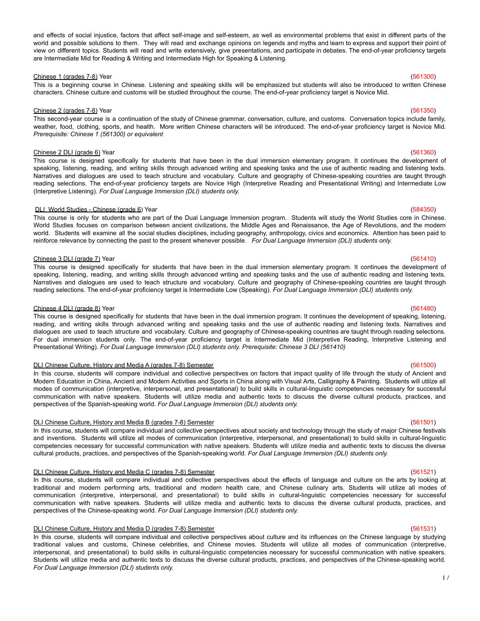and effects of social injustice, factors that affect self-image and self-esteem, as well as environmental problems that exist in different parts of the world and possible solutions to them. They will read and exchange opinions on legends and myths and learn to express and support their point of view on different topics. Students will read and write extensively, give presentations, and participate in debates. The end-of-year proficiency targets are Intermediate Mid for Reading & Writing and Intermediate High for Speaking & Listening.

### Chinese 1 (grades 7-8) Year (561300)

#### This is a beginning course in Chinese. Listening and speaking skills will be emphasized but students will also be introduced to written Chinese characters. Chinese culture and customs will be studied throughout the course. The end-of-year proficiency target is Novice Mid.

### Chinese 2 (grades 7-8) Year (561350)

This second-year course is a continuation of the study of Chinese grammar, conversation, culture, and customs. Conversation topics include family, weather, food, clothing, sports, and health. More written Chinese characters will be introduced. The end-of-year proficiency target is Novice Mid. *Prerequisite: Chinese 1 (561300) or equivalent*

#### Chinese 2 DLI (grade 6) Year (561360)

This course is designed specifically for students that have been in the dual immersion elementary program. It continues the development of speaking, listening, reading, and writing skills through advanced writing and speaking tasks and the use of authentic reading and listening texts. Narratives and dialogues are used to teach structure and vocabulary. Culture and geography of Chinese-speaking countries are taught through reading selections. The end-of-year proficiency targets are Novice High (Interpretive Reading and Presentational Writing) and Intermediate Low (Interpretive Listening). *For Dual Language Immersion (DLI) students only.*

### DLI World Studies - Chinese (grade 6) Year (584350)

This course is only for students who are part of the Dual Language Immersion program. Students will study the World Studies core in Chinese. World Studies focuses on comparison between ancient civilizations, the Middle Ages and Renaissance, the Age of Revolutions, and the modern world. Students will examine all the social studies disciplines, including geography, anthropology, civics and economics. Attention has been paid to reinforce relevance by connecting the past to the present whenever possible. *For Dual Language Immersion (DLI) students only.*

#### Chinese 3 DLI (grade 7) Year (561410) (561410)

This course is designed specifically for students that have been in the dual immersion elementary program. It continues the development of speaking, listening, reading, and writing skills through advanced writing and speaking tasks and the use of authentic reading and listening texts. Narratives and dialogues are used to teach structure and vocabulary. Culture and geography of Chinese-speaking countries are taught through reading selections. The end-of-year proficiency target is Intermediate Low (Speaking). *For Dual Language Immersion (DLI) students only.*

#### Chinese 4 DLI (grade 8) Year (561480)

This course is designed specifically for students that have been in the dual immersion program. It continues the development of speaking, listening, reading, and writing skills through advanced writing and speaking tasks and the use of authentic reading and listening texts. Narratives and dialogues are used to teach structure and vocabulary. Culture and geography of Chinese-speaking countries are taught through reading selections. For dual immersion students only. The end-of-year proficiency target is Intermediate Mid (Interpretive Reading, Interpretive Listening and Presentational Writing). *For Dual Language Immersion (DLI) students only. Prerequisite: Chinese 3 DLI (561410)*

### DLI Chinese Culture, History and Media A (grades 7-8) Semester (561500)

In this course, students will compare individual and collective perspectives on factors that impact quality of life through the study of Ancient and Modern Education in China, Ancient and Modern Activities and Sports in China along with Visual Arts, Calligraphy & Painting. Students will utilize all modes of communication (interpretive, interpersonal, and presentational) to build skills in cultural-linguistic competencies necessary for successful communication with native speakers. Students will utilize media and authentic texts to discuss the diverse cultural products, practices, and perspectives of the Spanish-speaking world. *For Dual Language Immersion (DLI) students only.*

### DLI Chinese Culture, History and Media B (grades 7-8) Semester (561501)

In this course, students will compare individual and collective perspectives about society and technology through the study of major Chinese festivals and inventions. Students will utilize all modes of communication (interpretive, interpersonal, and presentational) to build skills in cultural-linguistic competencies necessary for successful communication with native speakers. Students will utilize media and authentic texts to discuss the diverse cultural products, practices, and perspectives of the Spanish-speaking world. *For Dual Language Immersion (DLI) students only.*

#### DLI Chinese Culture, History and Media C (grades 7-8) Semester (561521)

In this course, students will compare individual and collective perspectives about the effects of language and culture on the arts by looking at traditional and modern performing arts, traditional and modern health care, and Chinese culinary arts. Students will utilize all modes of communication (interpretive, interpersonal, and presentational) to build skills in cultural-linguistic competencies necessary for successful communication with native speakers. Students will utilize media and authentic texts to discuss the diverse cultural products, practices, and perspectives of the Chinese-speaking world. *For Dual Language Immersion (DLI) students only.*

### DLI Chinese Culture, History and Media D (grades 7-8) Semester (561531)

In this course, students will compare individual and collective perspectives about culture and its influences on the Chinese language by studying traditional values and customs, Chinese celebrities, and Chinese movies. Students will utilize all modes of communication (interpretive, interpersonal, and presentational) to build skills in cultural-linguistic competencies necessary for successful communication with native speakers. Students will utilize media and authentic texts to discuss the diverse cultural products, practices, and perspectives of the Chinese-speaking world. *For Dual Language Immersion (DLI) students only.*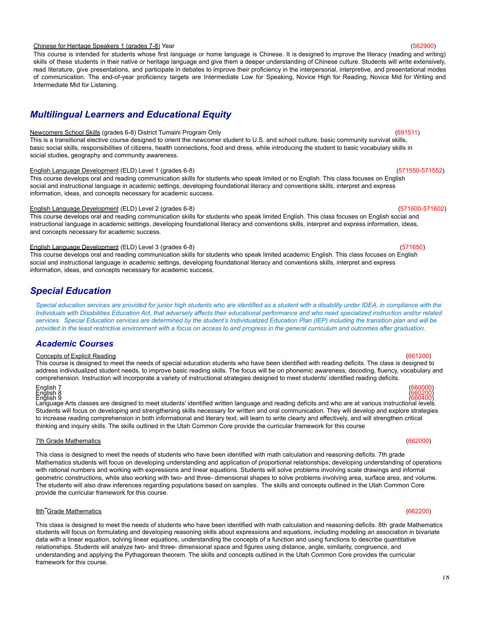### 18

### Chinese for Heritage Speakers 1 (grades 7-8) Year (562900)

This course is intended for students whose first language or home language is Chinese. It is designed to improve the literacy (reading and writing) skills of these students in their native or heritage language and give them a deeper understanding of Chinese culture. Students will write extensively, read literature, give presentations, and participate in debates to improve their proficiency in the interpersonal, interpretive, and presentational modes of communication. The end-of-year proficiency targets are Intermediate Low for Speaking, Novice High for Reading, Novice Mid for Writing and Intermediate Mid for Listening.

## *Multilingual Learners and Educational Equity*

### Newcomers School Skills (grades 6-8) District Tumaini Program Only (691511)

This is a transitional elective course designed to orient the newcomer student to U.S. and school culture, basic community survival skills, basic social skills, responsibilities of citizens, health connections, food and dress, while introducing the student to basic vocabulary skills in social studies, geography and community awareness.

#### English Language Development (ELD) Level 1 (grades 6-8) (571550-571552)

This course develops oral and reading communication skills for students who speak limited or no English. This class focuses on English social and instructional language in academic settings, developing foundational literacy and conventions skills, interpret and express information, ideas, and concepts necessary for academic success.

#### English Language Development (ELD) Level 2 (grades 6-8) (571600-571602)

This course develops oral and reading communication skills for students who speak limited English. This class focuses on English social and instructional language in academic settings, developing foundational literacy and conventions skills, interpret and express information, ideas, and concepts necessary for academic success.

#### English Language Development (ELD) Level 3 (grades 6-8) (571650)

This course develops oral and reading communication skills for students who speak limited academic English. This class focuses on English social and instructional language in academic settings, developing foundational literacy and conventions skills, interpret and express information, ideas, and concepts necessary for academic success.

## *Special Education*

Special education services are provided for junior high students who are identified as a student with a disability under IDEA, in compliance with the Individuals with Disabilities Education Act, that adversely affects their educational performance and who need specialized instruction and/or related services. Special Education services are determined by the student's Individualized Education Plan (IEP) including the transition plan and will be provided in the least restrictive environment with a focus on access to and progress in the general curriculum and outcomes after graduation.

## *Academic Courses*

### Concepts of Explicit Reading (661200)

This course is designed to meet the needs of special education students who have been identified with reading deficits. The class is designed to address individualized student needs, to improve basic reading skills. The focus will be on phonemic awareness, decoding, fluency, vocabulary and comprehension. Instruction will incorporate a variety of instructional strategies designed to meet students' identified reading deficits.

## English 7 (660000)

Enğlish 9<br>Language Arts classes are designed to meet students' identified written language and reading deficits and who are at various instructional levels. Students will focus on developing and strengthening skills necessary for written and oral communication. They will develop and explore strategies to increase reading comprehension in both informational and literary text, will learn to write clearly and effectively, and will strengthen critical thinking and inquiry skills. The skills outlined in the Utah Common Core provide the curricular framework for this course

### 7th Grade Mathematics (662000)

This class is designed to meet the needs of students who have been identified with math calculation and reasoning deficits. 7th grade Mathematics students will focus on developing understanding and application of proportional relationships; developing understanding of operations with rational numbers and working with expressions and linear equations. Students will solve problems involving scale drawings and informal geometric constructions, while also working with two- and three- dimensional shapes to solve problems involving area, surface area, and volume. The students will also draw inferences regarding populations based on samples. The skills and concepts outlined in the Utah Common Core provide the curricular framework for this course.

### 8th Grade Mathematics (662200)

This class is designed to meet the needs of students who have been identified with math calculation and reasoning deficits. 8th grade Mathematics students will focus on formulating and developing reasoning skills about expressions and equations, including modeling an association in bivariate data with a linear equation, solving linear equations, understanding the concepts of a function and using functions to describe quantitative relationships. Students will analyze two- and three- dimensional space and figures using distance, angle, similarity, congruence, and understanding and applying the Pythagorean theorem. The skills and concepts outlined in the Utah Common Core provides the curricular framework for this course.

## English 8 (660200)